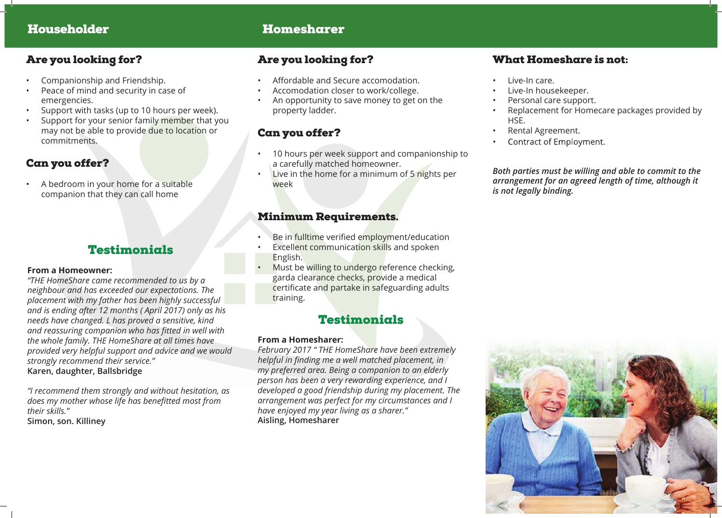# Householder Homesharer

### Are you looking for?

- Companionship and Friendship.
- Peace of mind and security in case of emergencies.
- Support with tasks (up to 10 hours per week).
- Support for your senior family member that you may not be able to provide due to location or commitments.

# Can you offer?

• A bedroom in your home for a suitable companion that they can call home

# **Testimonials**

#### **From a Homeowner:**

*"THE HomeShare came recommended to us by a neighbour and has exceeded our expectations. The placement with my father has been highly successful and is ending after 12 months ( April 2017) only as his needs have changed. L has proved a sensitive, kind and reassuring companion who has fitted in well with the whole family. THE HomeShare at all times have provided very helpful support and advice and we would strongly recommend their service."*  **Karen, daughter, Ballsbridge**

*"I recommend them strongly and without hesitation, as does my mother whose life has benefitted most from their skills."*  **Simon, son. Killiney**

## Are you looking for?

- Affordable and Secure accomodation.
- Accomodation closer to work/college.
- An opportunity to save money to get on the property ladder.

# Can you offer?

- 10 hours per week support and companionship to a carefully matched homeowner.
- Live in the home for a minimum of 5 nights per week

#### Minimum Requirements.

- Be in fulltime verified employment/education
- Excellent communication skills and spoken English.
- Must be willing to undergo reference checking, garda clearance checks, provide a medical certificate and partake in safeguarding adults training.

# Testimonials

#### **From a Homesharer:**

*February 2017 " THE HomeShare have been extremely helpful in finding me a well matched placement, in my preferred area. Being a companion to an elderly person has been a very rewarding experience, and I developed a good friendship during my placement. The arrangement was perfect for my circumstances and I have enjoyed my year living as a sharer."* **Aisling, Homesharer**

# What Homeshare is not:

- Live-In care.
- Live-In housekeeper.
- Personal care support.
- Replacement for Homecare packages provided by HSE.
- Rental Agreement.
- Contract of Employment.

*Both parties must be willing and able to commit to the arrangement for an agreed length of time, although it is not legally binding.*